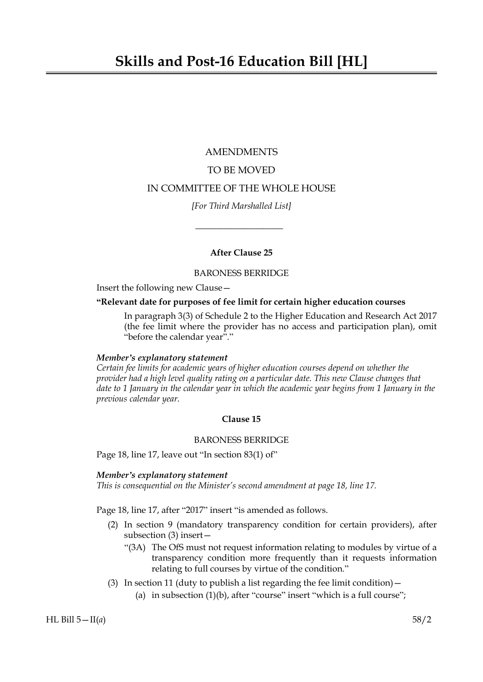# AMENDMENTS TO BE MOVED IN COMMITTEE OF THE WHOLE HOUSE

*[For Third Marshalled List]*

 $\overline{\phantom{a}}$  , where  $\overline{\phantom{a}}$ 

# **After Clause 25**

BARONESS BERRIDGE

Insert the following new Clause—

# **"Relevant date for purposes of fee limit for certain higher education courses**

In paragraph 3(3) of Schedule 2 to the Higher Education and Research Act 2017 (the fee limit where the provider has no access and participation plan), omit "before the calendar year"."

# *Member's explanatory statement*

*Certain fee limits for academic years of higher education courses depend on whether the provider had a high level quality rating on a particular date. This new Clause changes that date to 1 January in the calendar year in which the academic year begins from 1 January in the previous calendar year.*

# **Clause 15**

# BARONESS BERRIDGE

Page 18, line 17, leave out "In section 83(1) of"

# *Member's explanatory statement*

*This is consequential on the Minister's second amendment at page 18, line 17.*

Page 18, line 17, after "2017" insert "is amended as follows.

- (2) In section 9 (mandatory transparency condition for certain providers), after subsection (3) insert—
	- "(3A) The OfS must not request information relating to modules by virtue of a transparency condition more frequently than it requests information relating to full courses by virtue of the condition."
- (3) In section 11 (duty to publish a list regarding the fee limit condition)  $-$ 
	- (a) in subsection  $(1)(b)$ , after "course" insert "which is a full course";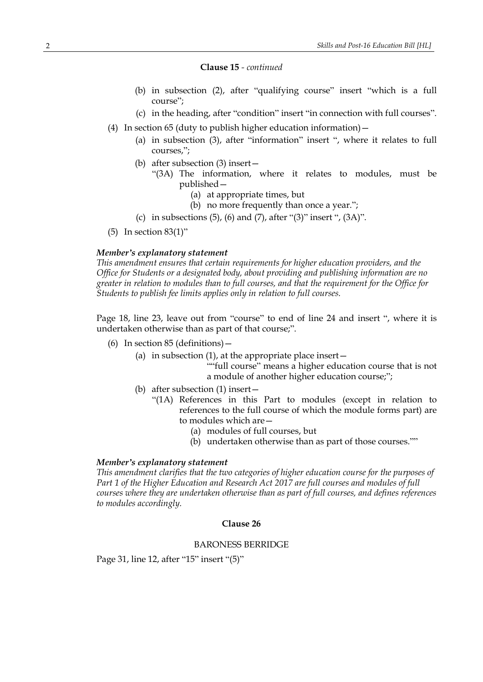#### **Clause 15** *- continued*

- (b) in subsection (2), after "qualifying course" insert "which is a full course";
- (c) in the heading, after "condition" insert "in connection with full courses".
- (4) In section 65 (duty to publish higher education information)—
	- (a) in subsection (3), after "information" insert ", where it relates to full courses,";
	- (b) after subsection (3) insert—
		- "(3A) The information, where it relates to modules, must be published—
			- (a) at appropriate times, but
			- (b) no more frequently than once a year.";
	- (c) in subsections  $(5)$ ,  $(6)$  and  $(7)$ , after " $(3)$ " insert ",  $(3A)$ ".
- (5) In section 83(1)"

# *Member's explanatory statement*

*This amendment ensures that certain requirements for higher education providers, and the Office for Students or a designated body, about providing and publishing information are no greater in relation to modules than to full courses, and that the requirement for the Office for Students to publish fee limits applies only in relation to full courses.*

Page 18, line 23, leave out from "course" to end of line 24 and insert ", where it is undertaken otherwise than as part of that course;".

- (6) In section 85 (definitions)—
	- (a) in subsection  $(1)$ , at the appropriate place insert  $-$ 
		- ""full course" means a higher education course that is not a module of another higher education course;";
	- (b) after subsection (1) insert—
		- "(1A) References in this Part to modules (except in relation to references to the full course of which the module forms part) are to modules which are—
			- (a) modules of full courses, but
			- (b) undertaken otherwise than as part of those courses.""

#### *Member's explanatory statement*

*This amendment clarifies that the two categories of higher education course for the purposes of Part 1 of the Higher Education and Research Act 2017 are full courses and modules of full courses where they are undertaken otherwise than as part of full courses, and defines references to modules accordingly.*

#### **Clause 26**

### BARONESS BERRIDGE

Page 31, line 12, after "15" insert "(5)"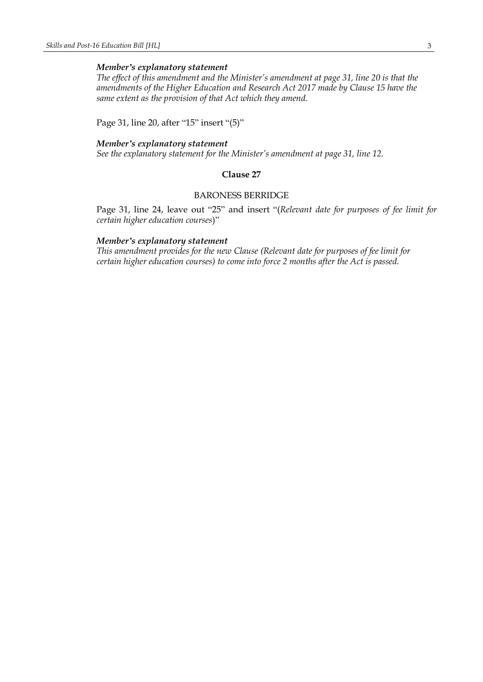#### *Member's explanatory statement*

*The effect of this amendment and the Minister's amendment at page 31, line 20 is that the amendments of the Higher Education and Research Act 2017 made by Clause 15 have the same extent as the provision of that Act which they amend.*

Page 31, line 20, after "15" insert "(5)"

#### *Member's explanatory statement*

*See the explanatory statement for the Minister's amendment at page 31, line 12.*

## **Clause 27**

## BARONESS BERRIDGE

Page 31, line 24, leave out "25" and insert "(*Relevant date for purposes of fee limit for certain higher education courses*)"

#### *Member's explanatory statement*

*This amendment provides for the new Clause (Relevant date for purposes of fee limit for certain higher education courses) to come into force 2 months after the Act is passed.*